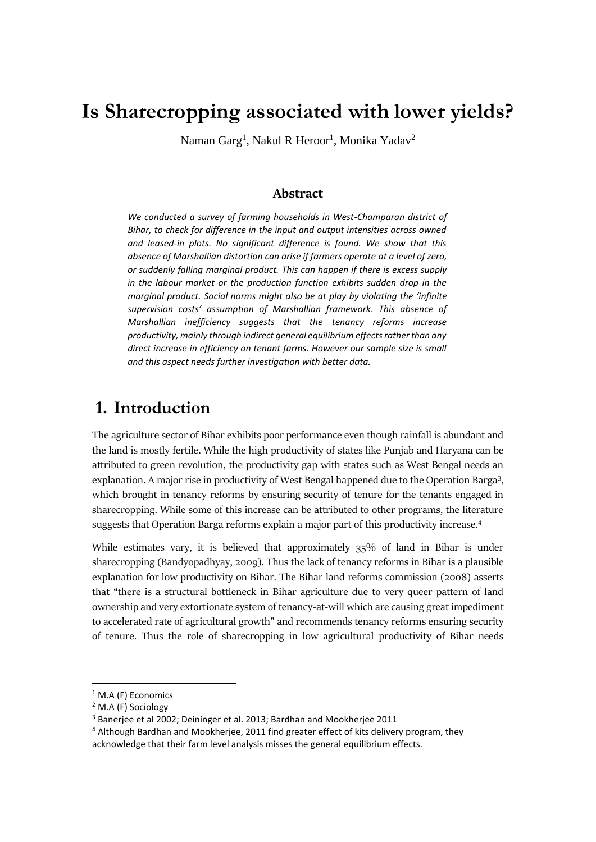# **Is Sharecropping associated with lower yields?**

Naman Garg<sup>1</sup>, Nakul R Heroor<sup>1</sup>, Monika Yadav<sup>2</sup>

### **Abstract**

*We conducted a survey of farming households in West-Champaran district of Bihar, to check for difference in the input and output intensities across owned and leased-in plots. No significant difference is found. We show that this absence of Marshallian distortion can arise if farmers operate at a level of zero, or suddenly falling marginal product. This can happen if there is excess supply in the labour market or the production function exhibits sudden drop in the marginal product. Social norms might also be at play by violating the 'infinite supervision costs' assumption of Marshallian framework. This absence of Marshallian inefficiency suggests that the tenancy reforms increase productivity, mainly through indirect general equilibrium effects rather than any direct increase in efficiency on tenant farms. However our sample size is small and this aspect needs further investigation with better data.*

## **1. Introduction**

The agriculture sector of Bihar exhibits poor performance even though rainfall is abundant and the land is mostly fertile. While the high productivity of states like Punjab and Haryana can be attributed to green revolution, the productivity gap with states such as West Bengal needs an explanation. A major rise in productivity of West Bengal happened due to the Operation Barga<sup>3</sup>, which brought in tenancy reforms by ensuring security of tenure for the tenants engaged in sharecropping. While some of this increase can be attributed to other programs, the literature suggests that Operation Barga reforms explain a major part of this productivity increase.<sup>4</sup>

While estimates vary, it is believed that approximately 35% of land in Bihar is under sharecropping (Bandyopadhyay, 2009). Thus the lack of tenancy reforms in Bihar is a plausible explanation for low productivity on Bihar. The Bihar land reforms commission (2008) asserts that "there is a structural bottleneck in Bihar agriculture due to very queer pattern of land ownership and very extortionate system of tenancy-at-will which are causing great impediment to accelerated rate of agricultural growth" and recommends tenancy reforms ensuring security of tenure. Thus the role of sharecropping in low agricultural productivity of Bihar needs

 $\overline{a}$ 

<sup>&</sup>lt;sup>1</sup> M.A (F) Economics

<sup>2</sup> M.A (F) Sociology

<sup>3</sup> Banerjee et al 2002; Deininger et al. 2013; Bardhan and Mookherjee 2011

<sup>4</sup> Although Bardhan and Mookherjee, 2011 find greater effect of kits delivery program, they acknowledge that their farm level analysis misses the general equilibrium effects.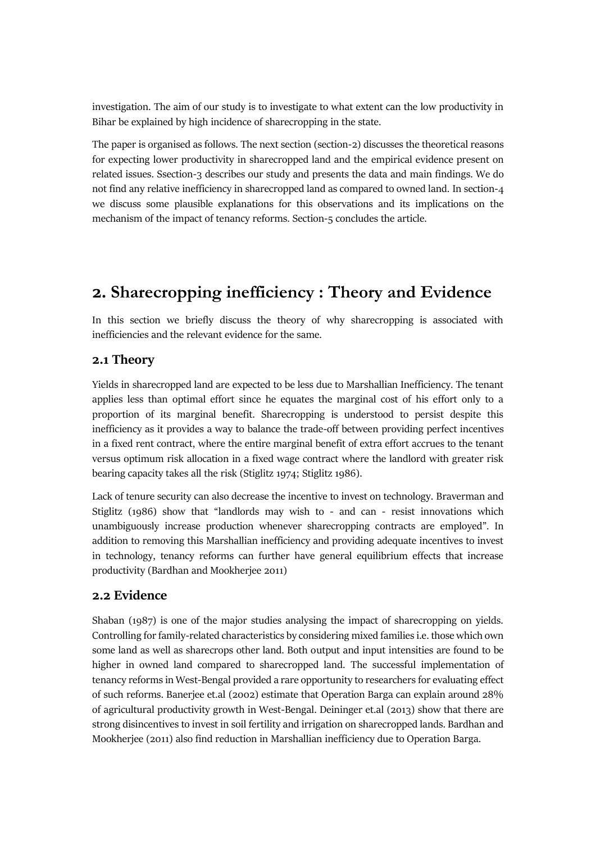investigation. The aim of our study is to investigate to what extent can the low productivity in Bihar be explained by high incidence of sharecropping in the state.

The paper is organised as follows. The next section (section-2) discusses the theoretical reasons for expecting lower productivity in sharecropped land and the empirical evidence present on related issues. Ssection-3 describes our study and presents the data and main findings. We do not find any relative inefficiency in sharecropped land as compared to owned land. In section-4 we discuss some plausible explanations for this observations and its implications on the mechanism of the impact of tenancy reforms. Section-5 concludes the article.

## **2. Sharecropping inefficiency : Theory and Evidence**

In this section we briefly discuss the theory of why sharecropping is associated with inefficiencies and the relevant evidence for the same.

### **2.1 Theory**

Yields in sharecropped land are expected to be less due to Marshallian Inefficiency. The tenant applies less than optimal effort since he equates the marginal cost of his effort only to a proportion of its marginal benefit. Sharecropping is understood to persist despite this inefficiency as it provides a way to balance the trade-off between providing perfect incentives in a fixed rent contract, where the entire marginal benefit of extra effort accrues to the tenant versus optimum risk allocation in a fixed wage contract where the landlord with greater risk bearing capacity takes all the risk (Stiglitz 1974; Stiglitz 1986).

Lack of tenure security can also decrease the incentive to invest on technology. Braverman and Stiglitz (1986) show that "landlords may wish to - and can - resist innovations which unambiguously increase production whenever sharecropping contracts are employed". In addition to removing this Marshallian inefficiency and providing adequate incentives to invest in technology, tenancy reforms can further have general equilibrium effects that increase productivity (Bardhan and Mookherjee 2011)

### **2.2 Evidence**

Shaban (1987) is one of the major studies analysing the impact of sharecropping on yields. Controlling for family-related characteristics by considering mixed families i.e. those which own some land as well as sharecrops other land. Both output and input intensities are found to be higher in owned land compared to sharecropped land. The successful implementation of tenancy reforms in West-Bengal provided a rare opportunity to researchers for evaluating effect of such reforms. Banerjee et.al (2002) estimate that Operation Barga can explain around 28% of agricultural productivity growth in West-Bengal. Deininger et.al (2013) show that there are strong disincentives to invest in soil fertility and irrigation on sharecropped lands. Bardhan and Mookherjee (2011) also find reduction in Marshallian inefficiency due to Operation Barga.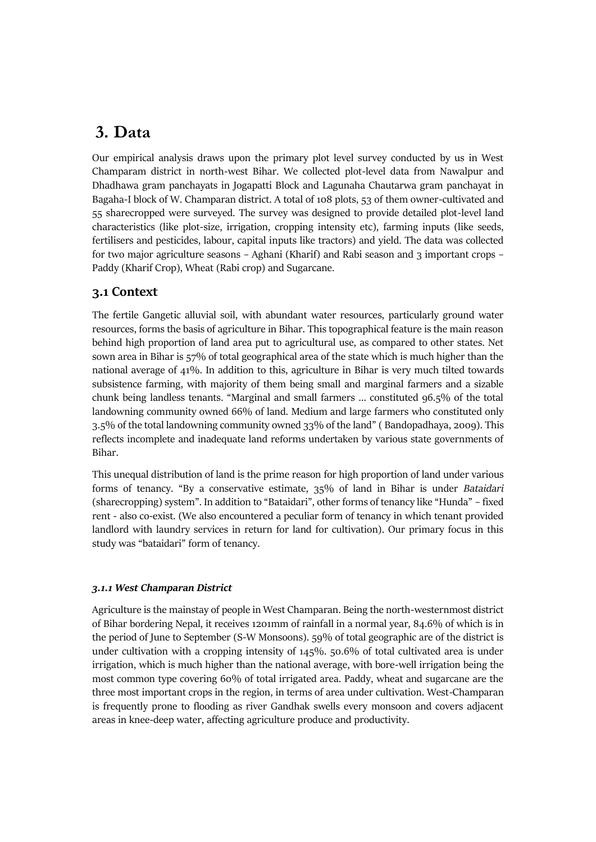## **3. Data**

Our empirical analysis draws upon the primary plot level survey conducted by us in West Champaram district in north-west Bihar. We collected plot-level data from Nawalpur and Dhadhawa gram panchayats in Jogapatti Block and Lagunaha Chautarwa gram panchayat in Bagaha-I block of W. Champaran district. A total of 108 plots, 53 of them owner-cultivated and 55 sharecropped were surveyed. The survey was designed to provide detailed plot-level land characteristics (like plot-size, irrigation, cropping intensity etc), farming inputs (like seeds, fertilisers and pesticides, labour, capital inputs like tractors) and yield. The data was collected for two major agriculture seasons – Aghani (Kharif) and Rabi season and 3 important crops – Paddy (Kharif Crop), Wheat (Rabi crop) and Sugarcane.

## **3.1 Context**

The fertile Gangetic alluvial soil, with abundant water resources, particularly ground water resources, forms the basis of agriculture in Bihar. This topographical feature is the main reason behind high proportion of land area put to agricultural use, as compared to other states. Net sown area in Bihar is 57% of total geographical area of the state which is much higher than the national average of 41%. In addition to this, agriculture in Bihar is very much tilted towards subsistence farming, with majority of them being small and marginal farmers and a sizable chunk being landless tenants. "Marginal and small farmers … constituted 96.5% of the total landowning community owned 66% of land. Medium and large farmers who constituted only 3.5% of the total landowning community owned 33% of the land" ( Bandopadhaya, 2009). This reflects incomplete and inadequate land reforms undertaken by various state governments of Bihar.

This unequal distribution of land is the prime reason for high proportion of land under various forms of tenancy. "By a conservative estimate, 35% of land in Bihar is under *Bataidari* (sharecropping) system". In addition to "Bataidari", other forms of tenancy like "Hunda" – fixed rent - also co-exist. (We also encountered a peculiar form of tenancy in which tenant provided landlord with laundry services in return for land for cultivation). Our primary focus in this study was "bataidari" form of tenancy.

#### *3.1.1 West Champaran District*

Agriculture is the mainstay of people in West Champaran. Being the north-westernmost district of Bihar bordering Nepal, it receives 1201mm of rainfall in a normal year, 84.6% of which is in the period of June to September (S-W Monsoons). 59% of total geographic are of the district is under cultivation with a cropping intensity of 145%. 50.6% of total cultivated area is under irrigation, which is much higher than the national average, with bore-well irrigation being the most common type covering 60% of total irrigated area. Paddy, wheat and sugarcane are the three most important crops in the region, in terms of area under cultivation. West-Champaran is frequently prone to flooding as river Gandhak swells every monsoon and covers adjacent areas in knee-deep water, affecting agriculture produce and productivity.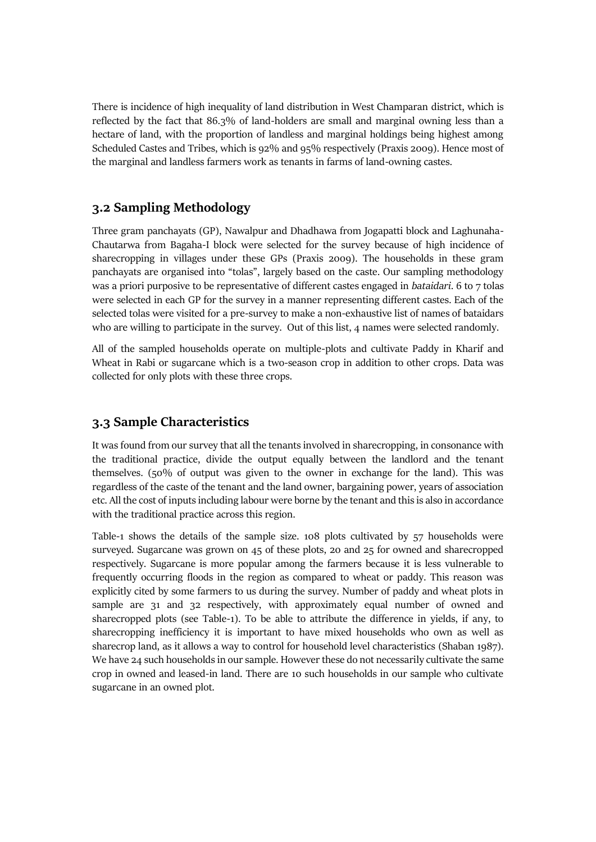There is incidence of high inequality of land distribution in West Champaran district, which is reflected by the fact that 86.3% of land-holders are small and marginal owning less than a hectare of land, with the proportion of landless and marginal holdings being highest among Scheduled Castes and Tribes, which is 92% and 95% respectively (Praxis 2009). Hence most of the marginal and landless farmers work as tenants in farms of land-owning castes.

### **3.2 Sampling Methodology**

Three gram panchayats (GP), Nawalpur and Dhadhawa from Jogapatti block and Laghunaha-Chautarwa from Bagaha-I block were selected for the survey because of high incidence of sharecropping in villages under these GPs (Praxis 2009). The households in these gram panchayats are organised into "tolas", largely based on the caste. Our sampling methodology was a priori purposive to be representative of different castes engaged in *bataidari*. 6 to 7 tolas were selected in each GP for the survey in a manner representing different castes. Each of the selected tolas were visited for a pre-survey to make a non-exhaustive list of names of bataidars who are willing to participate in the survey. Out of this list, 4 names were selected randomly.

All of the sampled households operate on multiple-plots and cultivate Paddy in Kharif and Wheat in Rabi or sugarcane which is a two-season crop in addition to other crops. Data was collected for only plots with these three crops.

## **3.3 Sample Characteristics**

It was found from our survey that all the tenants involved in sharecropping, in consonance with the traditional practice, divide the output equally between the landlord and the tenant themselves. (50% of output was given to the owner in exchange for the land). This was regardless of the caste of the tenant and the land owner, bargaining power, years of association etc. All the cost of inputs including labour were borne by the tenant and this is also in accordance with the traditional practice across this region.

Table-1 shows the details of the sample size. 108 plots cultivated by 57 households were surveyed. Sugarcane was grown on 45 of these plots, 20 and 25 for owned and sharecropped respectively. Sugarcane is more popular among the farmers because it is less vulnerable to frequently occurring floods in the region as compared to wheat or paddy. This reason was explicitly cited by some farmers to us during the survey. Number of paddy and wheat plots in sample are 31 and 32 respectively, with approximately equal number of owned and sharecropped plots (see Table-1). To be able to attribute the difference in yields, if any, to sharecropping inefficiency it is important to have mixed households who own as well as sharecrop land, as it allows a way to control for household level characteristics (Shaban 1987). We have 24 such households in our sample. However these do not necessarily cultivate the same crop in owned and leased-in land. There are 10 such households in our sample who cultivate sugarcane in an owned plot.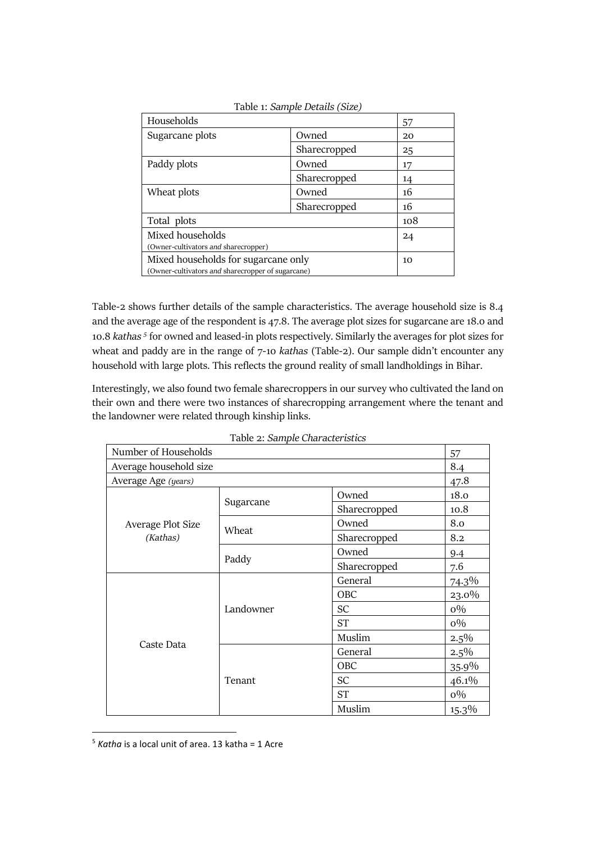|                                                   | 57 |  |
|---------------------------------------------------|----|--|
| Owned                                             | 20 |  |
| Sharecropped                                      | 25 |  |
| Owned                                             | 17 |  |
| Sharecropped                                      | 14 |  |
| Owned                                             | 16 |  |
| Sharecropped                                      | 16 |  |
| Total plots                                       |    |  |
| Mixed households                                  |    |  |
| (Owner-cultivators and sharecropper)              |    |  |
| Mixed households for sugarcane only               |    |  |
| (Owner-cultivators and sharecropper of sugarcane) |    |  |
|                                                   |    |  |

Table 1: *Sample Details (Size)*

Table-2 shows further details of the sample characteristics. The average household size is 8.4 and the average age of the respondent is 47.8. The average plot sizes for sugarcane are 18.0 and 10.8 *kathas 5* for owned and leased-in plots respectively. Similarly the averages for plot sizes for wheat and paddy are in the range of 7-10 *kathas* (Table-2). Our sample didn't encounter any household with large plots. This reflects the ground reality of small landholdings in Bihar.

Interestingly, we also found two female sharecroppers in our survey who cultivated the land on their own and there were two instances of sharecropping arrangement where the tenant and the landowner were related through kinship links.

| rabic 2. Sample Character istics |           |              |          |       |
|----------------------------------|-----------|--------------|----------|-------|
| Number of Households             |           |              | 57       |       |
| Average household size           |           |              | 8.4      |       |
| Average Age (years)              |           |              | 47.8     |       |
|                                  | Sugarcane | Owned        | 18.0     |       |
|                                  |           | Sharecropped | 10.8     |       |
| Average Plot Size                |           | Owned        | 8.0      |       |
| (Kathas)                         | Wheat     | Sharecropped | 8.2      |       |
|                                  | Paddy     | Owned        | 9.4      |       |
|                                  |           | Sharecropped | 7.6      |       |
|                                  |           | General      | 74.3%    |       |
|                                  |           | OBC          | 23.0%    |       |
|                                  | Landowner | <b>SC</b>    | $0\%$    |       |
| Caste Data                       |           | <b>ST</b>    | $0\%$    |       |
|                                  |           | Muslim       | $2.5\%$  |       |
|                                  |           | General      | $2.5\%$  |       |
|                                  |           | OBC          | 35.9%    |       |
|                                  | Tenant    | <b>SC</b>    | 46.1%    |       |
|                                  |           |              | ST       | $0\%$ |
|                                  |           | Muslim       | $15.3\%$ |       |

Table 2: *Sample Characteristics*

 $\overline{a}$ 

<sup>5</sup> *Katha* is a local unit of area. 13 katha = 1 Acre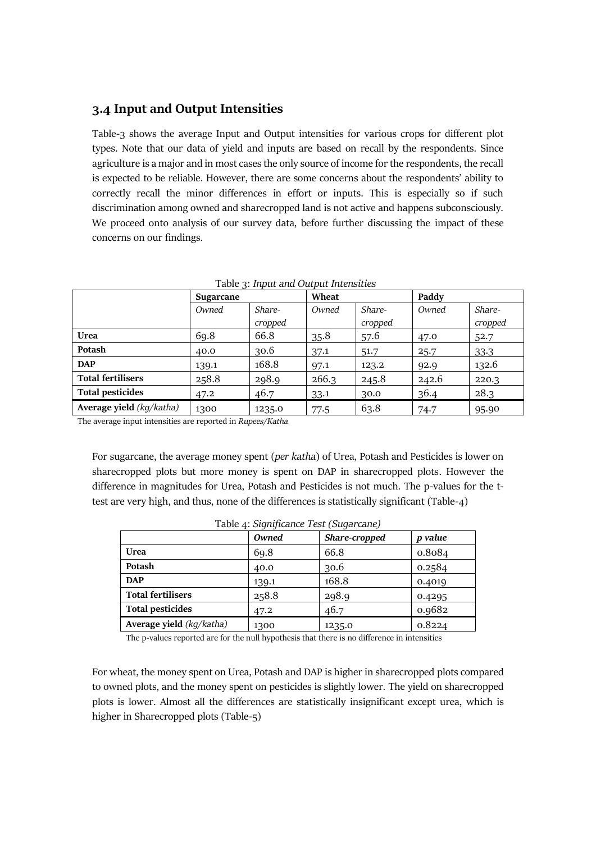#### **3.4 Input and Output Intensities**

Table-3 shows the average Input and Output intensities for various crops for different plot types. Note that our data of yield and inputs are based on recall by the respondents. Since agriculture is a major and in most cases the only source of income for the respondents, the recall is expected to be reliable. However, there are some concerns about the respondents' ability to correctly recall the minor differences in effort or inputs. This is especially so if such discrimination among owned and sharecropped land is not active and happens subconsciously. We proceed onto analysis of our survey data, before further discussing the impact of these concerns on our findings.

|                          | Sugarcane |                   | Wheat |                   | Paddy |                   |
|--------------------------|-----------|-------------------|-------|-------------------|-------|-------------------|
|                          | Owned     | Share-<br>cropped | Owned | Share-<br>cropped | Owned | Share-<br>cropped |
| Urea                     | 69.8      | 66.8              | 35.8  | 57.6              | 47.0  | 52.7              |
| Potash                   | 40.0      | 30.6              | 37.1  | 51.7              | 25.7  | 33.3              |
| <b>DAP</b>               | 139.1     | 168.8             | 97.1  | 123.2             | 92.9  | 132.6             |
| <b>Total fertilisers</b> | 258.8     | 298.9             | 266.3 | 245.8             | 242.6 | 220.3             |
| <b>Total pesticides</b>  | 47.2      | 46.7              | 33.1  | 30.0              | 36.4  | 28.3              |
| Average yield (kq/katha) | 1300      | 1235.0            | 77.5  | 63.8              | 74.7  | 95.90             |

Table 3: *Input and Output Intensities*

The average input intensities are reported in *Rupees/Katha*

For sugarcane, the average money spent (*per katha*) of Urea, Potash and Pesticides is lower on sharecropped plots but more money is spent on DAP in sharecropped plots. However the difference in magnitudes for Urea, Potash and Pesticides is not much. The p-values for the ttest are very high, and thus, none of the differences is statistically significant (Table-4)

| raone 4. Olgheficance 1 col (Oligan cance) |       |               |         |
|--------------------------------------------|-------|---------------|---------|
|                                            | Owned | Share-cropped | p value |
| <b>Urea</b>                                | 69.8  | 66.8          | 0.8084  |
| Potash                                     | 40.0  | 30.6          | 0.2584  |
| <b>DAP</b>                                 | 139.1 | 168.8         | 0.4019  |
| <b>Total fertilisers</b>                   | 258.8 | 298.9         | 0.4295  |
| <b>Total pesticides</b>                    | 47.2  | 46.7          | 0.9682  |
| Average yield (kg/katha)                   | 1300  | 1235.0        | 0.8224  |

Table 4: *Significance Test (Sugarcane)*

The p-values reported are for the null hypothesis that there is no difference in intensities

For wheat, the money spent on Urea, Potash and DAP is higher in sharecropped plots compared to owned plots, and the money spent on pesticides is slightly lower. The yield on sharecropped plots is lower. Almost all the differences are statistically insignificant except urea, which is higher in Sharecropped plots (Table-5)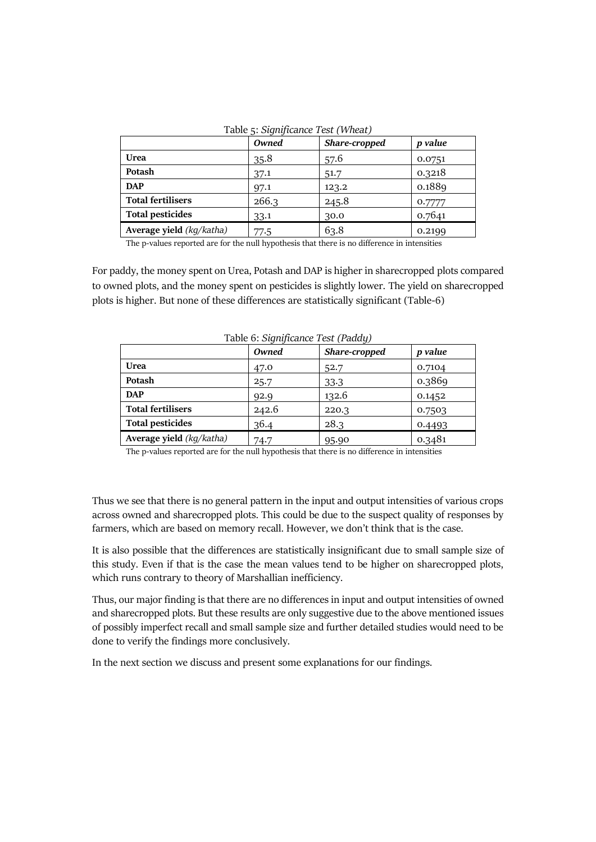|                          | Owned | Share-cropped | p value |
|--------------------------|-------|---------------|---------|
| <b>Urea</b>              | 35.8  | 57.6          | 0.0751  |
| Potash                   | 37.1  | 51.7          | 0.3218  |
| <b>DAP</b>               | 97.1  | 123.2         | 0.1889  |
| <b>Total fertilisers</b> | 266.3 | 245.8         | 0.7777  |
| <b>Total pesticides</b>  | 33.1  | 30.0          | 0.7641  |
| Average yield (kg/katha) | 77.5  | 63.8          | 0.2199  |

Table 5: *Significance Test (Wheat)*

The p-values reported are for the null hypothesis that there is no difference in intensities

For paddy, the money spent on Urea, Potash and DAP is higher in sharecropped plots compared to owned plots, and the money spent on pesticides is slightly lower. The yield on sharecropped plots is higher. But none of these differences are statistically significant (Table-6)

|                          | Owned | rabic of Bightheance rest (Faugy)<br>Share-cropped | p value |
|--------------------------|-------|----------------------------------------------------|---------|
| <b>Urea</b>              | 47.0  | 52.7                                               | 0.7104  |
| Potash                   | 25.7  | 33.3                                               | 0.3869  |
| <b>DAP</b>               | 92.9  | 132.6                                              | 0.1452  |
| <b>Total fertilisers</b> | 242.6 | 220.3                                              | 0.7503  |
| <b>Total pesticides</b>  | 36.4  | 28.3                                               | 0.4493  |
| Average yield (kg/katha) | 74.7  | 95.90                                              | 0.3481  |

Table 6: *Significance Test (Paddy)*

The p-values reported are for the null hypothesis that there is no difference in intensities

Thus we see that there is no general pattern in the input and output intensities of various crops across owned and sharecropped plots. This could be due to the suspect quality of responses by farmers, which are based on memory recall. However, we don't think that is the case.

It is also possible that the differences are statistically insignificant due to small sample size of this study. Even if that is the case the mean values tend to be higher on sharecropped plots, which runs contrary to theory of Marshallian inefficiency.

Thus, our major finding is that there are no differences in input and output intensities of owned and sharecropped plots. But these results are only suggestive due to the above mentioned issues of possibly imperfect recall and small sample size and further detailed studies would need to be done to verify the findings more conclusively.

In the next section we discuss and present some explanations for our findings.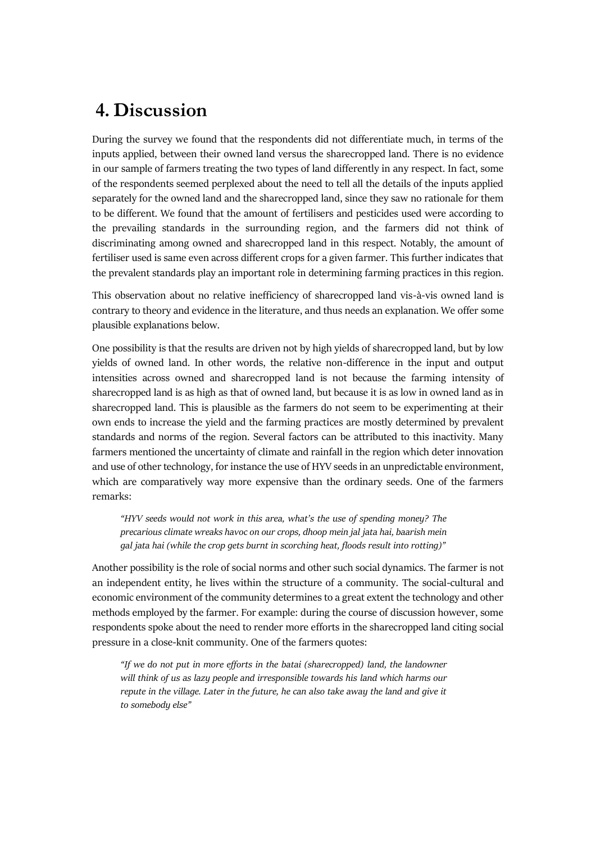## **4. Discussion**

During the survey we found that the respondents did not differentiate much, in terms of the inputs applied, between their owned land versus the sharecropped land. There is no evidence in our sample of farmers treating the two types of land differently in any respect. In fact, some of the respondents seemed perplexed about the need to tell all the details of the inputs applied separately for the owned land and the sharecropped land, since they saw no rationale for them to be different. We found that the amount of fertilisers and pesticides used were according to the prevailing standards in the surrounding region, and the farmers did not think of discriminating among owned and sharecropped land in this respect. Notably, the amount of fertiliser used is same even across different crops for a given farmer. This further indicates that the prevalent standards play an important role in determining farming practices in this region.

This observation about no relative inefficiency of sharecropped land vis-à-vis owned land is contrary to theory and evidence in the literature, and thus needs an explanation. We offer some plausible explanations below.

One possibility is that the results are driven not by high yields of sharecropped land, but by low yields of owned land. In other words, the relative non-difference in the input and output intensities across owned and sharecropped land is not because the farming intensity of sharecropped land is as high as that of owned land, but because it is as low in owned land as in sharecropped land. This is plausible as the farmers do not seem to be experimenting at their own ends to increase the yield and the farming practices are mostly determined by prevalent standards and norms of the region. Several factors can be attributed to this inactivity. Many farmers mentioned the uncertainty of climate and rainfall in the region which deter innovation and use of other technology, for instance the use of HYV seeds in an unpredictable environment, which are comparatively way more expensive than the ordinary seeds. One of the farmers remarks:

*"HYV seeds would not work in this area, what's the use of spending money? The precarious climate wreaks havoc on our crops, dhoop mein jal jata hai, baarish mein gal jata hai (while the crop gets burnt in scorching heat, floods result into rotting)"*

Another possibility is the role of social norms and other such social dynamics. The farmer is not an independent entity, he lives within the structure of a community. The social-cultural and economic environment of the community determines to a great extent the technology and other methods employed by the farmer. For example: during the course of discussion however, some respondents spoke about the need to render more efforts in the sharecropped land citing social pressure in a close-knit community. One of the farmers quotes:

*"If we do not put in more efforts in the batai (sharecropped) land, the landowner will think of us as lazy people and irresponsible towards his land which harms our repute in the village. Later in the future, he can also take away the land and give it to somebody else"*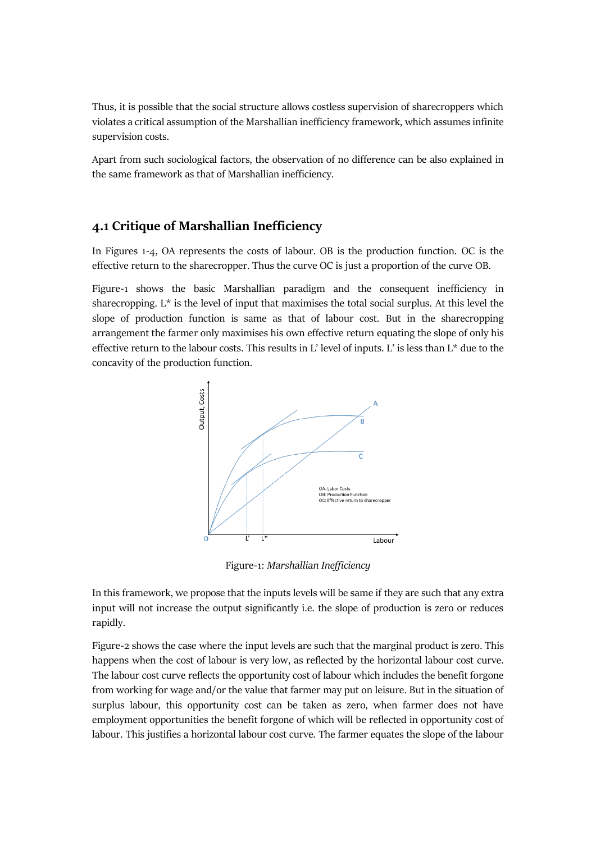Thus, it is possible that the social structure allows costless supervision of sharecroppers which violates a critical assumption of the Marshallian inefficiency framework, which assumes infinite supervision costs.

Apart from such sociological factors, the observation of no difference can be also explained in the same framework as that of Marshallian inefficiency.

#### **4.1 Critique of Marshallian Inefficiency**

In Figures 1-4, OA represents the costs of labour. OB is the production function. OC is the effective return to the sharecropper. Thus the curve OC is just a proportion of the curve OB.

Figure-1 shows the basic Marshallian paradigm and the consequent inefficiency in sharecropping.  $L^*$  is the level of input that maximises the total social surplus. At this level the slope of production function is same as that of labour cost. But in the sharecropping arrangement the farmer only maximises his own effective return equating the slope of only his effective return to the labour costs. This results in L' level of inputs. L' is less than L\* due to the concavity of the production function.



Figure-1: *Marshallian Inefficiency*

In this framework, we propose that the inputs levels will be same if they are such that any extra input will not increase the output significantly i.e. the slope of production is zero or reduces rapidly.

Figure-2 shows the case where the input levels are such that the marginal product is zero. This happens when the cost of labour is very low, as reflected by the horizontal labour cost curve. The labour cost curve reflects the opportunity cost of labour which includes the benefit forgone from working for wage and/or the value that farmer may put on leisure. But in the situation of surplus labour, this opportunity cost can be taken as zero, when farmer does not have employment opportunities the benefit forgone of which will be reflected in opportunity cost of labour. This justifies a horizontal labour cost curve. The farmer equates the slope of the labour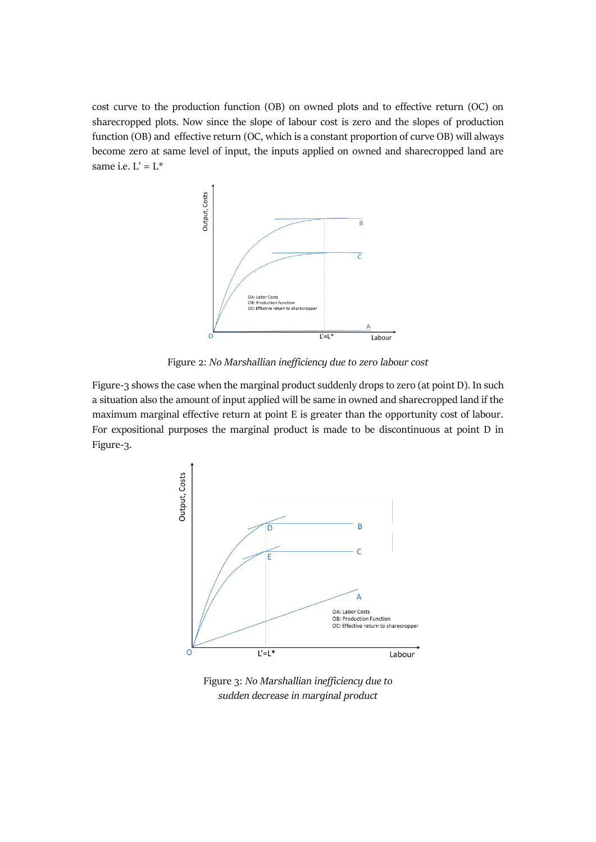cost curve to the production function (OB) on owned plots and to effective return (OC) on sharecropped plots. Now since the slope of labour cost is zero and the slopes of production function (OB) and effective return (OC, which is a constant proportion of curve OB) will always become zero at same level of input, the inputs applied on owned and sharecropped land are same i.e.  $L' = L^*$ 



Figure 2: *No Marshallian inefficiency due to zero labour cost*

Figure-3 shows the case when the marginal product suddenly drops to zero (at point D). In such a situation also the amount of input applied will be same in owned and sharecropped land if the maximum marginal effective return at point E is greater than the opportunity cost of labour. For expositional purposes the marginal product is made to be discontinuous at point D in Figure-3.



Figure 3: *No Marshallian inefficiency due to sudden decrease in marginal product*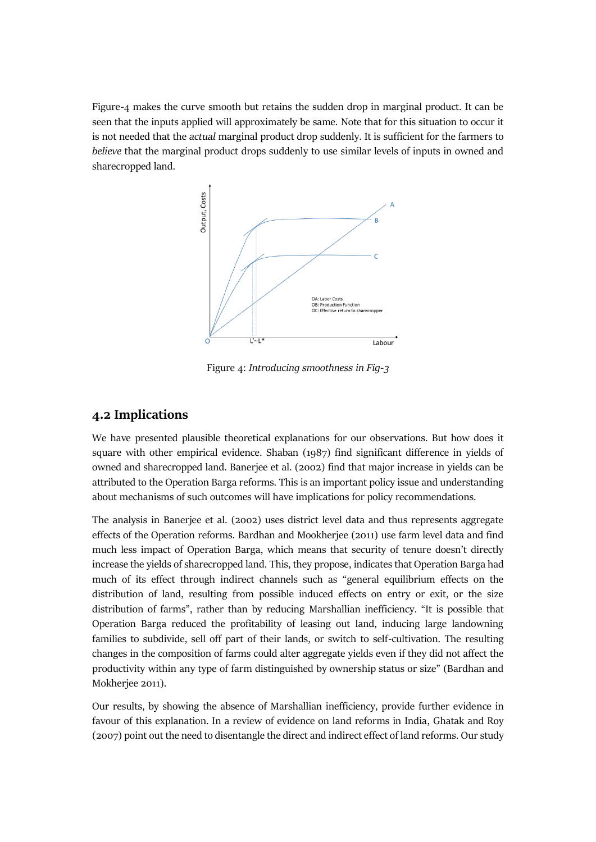Figure-4 makes the curve smooth but retains the sudden drop in marginal product. It can be seen that the inputs applied will approximately be same. Note that for this situation to occur it is not needed that the *actual* marginal product drop suddenly. It is sufficient for the farmers to *believe* that the marginal product drops suddenly to use similar levels of inputs in owned and sharecropped land.



Figure 4: *Introducing smoothness in Fig-3*

### **4.2 Implications**

We have presented plausible theoretical explanations for our observations. But how does it square with other empirical evidence. Shaban (1987) find significant difference in yields of owned and sharecropped land. Banerjee et al. (2002) find that major increase in yields can be attributed to the Operation Barga reforms. This is an important policy issue and understanding about mechanisms of such outcomes will have implications for policy recommendations.

The analysis in Banerjee et al. (2002) uses district level data and thus represents aggregate effects of the Operation reforms. Bardhan and Mookherjee (2011) use farm level data and find much less impact of Operation Barga, which means that security of tenure doesn't directly increase the yields of sharecropped land. This, they propose, indicates that Operation Barga had much of its effect through indirect channels such as "general equilibrium effects on the distribution of land, resulting from possible induced effects on entry or exit, or the size distribution of farms", rather than by reducing Marshallian inefficiency. "It is possible that Operation Barga reduced the profitability of leasing out land, inducing large landowning families to subdivide, sell off part of their lands, or switch to self-cultivation. The resulting changes in the composition of farms could alter aggregate yields even if they did not affect the productivity within any type of farm distinguished by ownership status or size" (Bardhan and Mokherjee 2011).

Our results, by showing the absence of Marshallian inefficiency, provide further evidence in favour of this explanation. In a review of evidence on land reforms in India, Ghatak and Roy (2007) point out the need to disentangle the direct and indirect effect of land reforms. Our study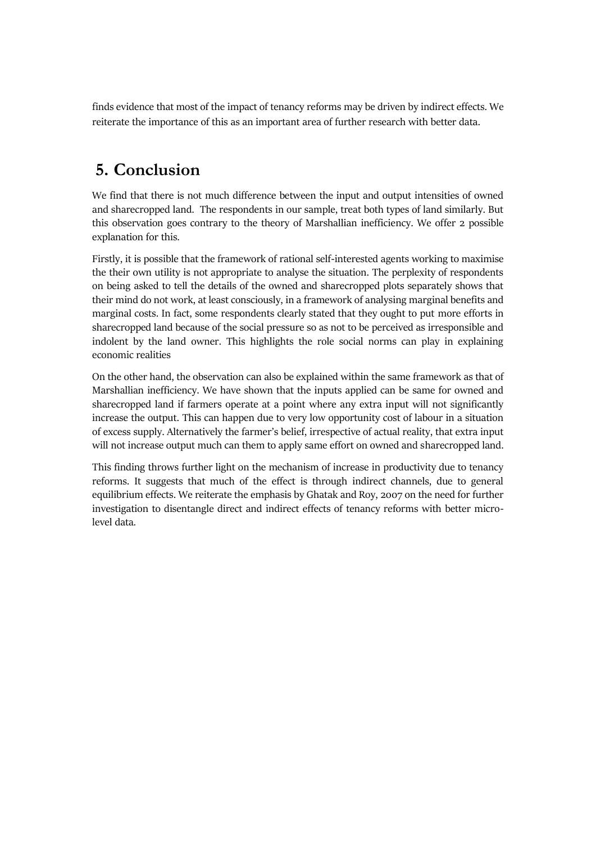finds evidence that most of the impact of tenancy reforms may be driven by indirect effects. We reiterate the importance of this as an important area of further research with better data.

## **5. Conclusion**

We find that there is not much difference between the input and output intensities of owned and sharecropped land. The respondents in our sample, treat both types of land similarly. But this observation goes contrary to the theory of Marshallian inefficiency. We offer 2 possible explanation for this.

Firstly, it is possible that the framework of rational self-interested agents working to maximise the their own utility is not appropriate to analyse the situation. The perplexity of respondents on being asked to tell the details of the owned and sharecropped plots separately shows that their mind do not work, at least consciously, in a framework of analysing marginal benefits and marginal costs. In fact, some respondents clearly stated that they ought to put more efforts in sharecropped land because of the social pressure so as not to be perceived as irresponsible and indolent by the land owner. This highlights the role social norms can play in explaining economic realities

On the other hand, the observation can also be explained within the same framework as that of Marshallian inefficiency. We have shown that the inputs applied can be same for owned and sharecropped land if farmers operate at a point where any extra input will not significantly increase the output. This can happen due to very low opportunity cost of labour in a situation of excess supply. Alternatively the farmer's belief, irrespective of actual reality, that extra input will not increase output much can them to apply same effort on owned and sharecropped land.

This finding throws further light on the mechanism of increase in productivity due to tenancy reforms. It suggests that much of the effect is through indirect channels, due to general equilibrium effects. We reiterate the emphasis by Ghatak and Roy, 2007 on the need for further investigation to disentangle direct and indirect effects of tenancy reforms with better microlevel data.